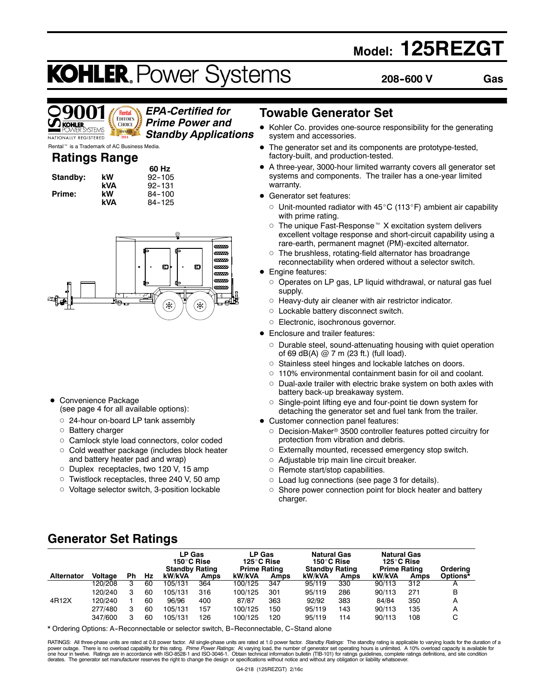# **Model: 125REZGT**

# **KOHLER. Power Systems**

**208--600 V Gas**



### *EPA-Certified for Prime Power and Standby Applications*

Rental<sup>™</sup> is a Trademark of AC Business Media.

### **Ratings Range**

|          |     | 60 Hz      |
|----------|-----|------------|
| Standby: | kW  | $92 - 105$ |
|          | kVA | $92 - 131$ |
| Prime:   | kW  | $84 - 100$ |
|          | k۷۸ | $91 - 125$ |

| nange |        |
|-------|--------|
|       | 60 Hz  |
| kW    | 92-105 |
| kVA   | 92-131 |
| kW    | 84-100 |
| kVA   | 84-125 |



- Convenience Package (see page 4 for all available options):
	- o 24-hour on-board LP tank assembly
	- o Battery charger
	- o Camlock style load connectors, color coded
	- o Cold weather package (includes block heater and battery heater pad and wrap)
	- o Duplex receptacles, two 120 V, 15 amp
	- o Twistlock receptacles, three 240 V, 50 amp
	- o Voltage selector switch, 3-position lockable

### **Towable Generator Set**

- Kohler Co. provides one-source responsibility for the generating system and accessories.
- The generator set and its components are prototype-tested, factory-built, and production-tested.
- A three-year, 3000-hour limited warranty covers all generator set systems and components. The trailer has a one-year limited warranty.
- Generator set features:
	- $\circ$  Unit-mounted radiator with 45°C (113°F) ambient air capability with prime rating.
	- $\circ$  The unique Fast-Response™ X excitation system delivers excellent voltage response and short-circuit capability using a rare-earth, permanent magnet (PM)-excited alternator.
	- $\circ$  The brushless, rotating-field alternator has broadrange reconnectability when ordered without a selector switch.
- **Engine features:** 
	- $\circ$  Operates on LP gas, LP liquid withdrawal, or natural gas fuel supply.
	- $\circ$  Heavy-duty air cleaner with air restrictor indicator.
	- o Lockable battery disconnect switch.
	- o Electronic, isochronous governor.
- Enclosure and trailer features:
	- Durable steel, sound-attenuating housing with quiet operation of 69 dB(A)  $@$  7 m (23 ft.) (full load).
	- o Stainless steel hinges and lockable latches on doors.
	- $\circ$  110% environmental containment basin for oil and coolant.
	- $\circ$  Dual-axle trailer with electric brake system on both axles with battery back-up breakaway system.
	- $\circ$  Single-point lifting eye and four-point tie down system for detaching the generator set and fuel tank from the trailer.
- Customer connection panel features:
	- O Decision-Maker<sup>®</sup> 3500 controller features potted circuitry for protection from vibration and debris.
	- $\circ$  Externally mounted, recessed emergency stop switch.
	- $\circ$  Adjustable trip main line circuit breaker.
	- $\circ$  Remote start/stop capabilities.
	- $\circ$  Load lug connections (see page 3 for details).
	- $\circ$  Shore power connection point for block heater and battery charger.

# **Generator Set Ratings**

|                   |                |    |    | LP Gas<br>150°C Rise<br><b>Standby Rating</b> |      | <b>LP Gas</b><br>125°C Rise<br><b>Prime Rating</b> |      | <b>Natural Gas</b><br>150°C Rise<br><b>Standby Rating</b> |      | <b>Natural Gas</b><br>125°C Rise<br><b>Prime Rating</b> |             | Ordering |
|-------------------|----------------|----|----|-----------------------------------------------|------|----------------------------------------------------|------|-----------------------------------------------------------|------|---------------------------------------------------------|-------------|----------|
| <b>Alternator</b> | <b>Voltage</b> | Ph | Hz | kW/kVA                                        | Amps | kW/kVA                                             | Amps | kW/kVA                                                    | Amps | kW/kVA                                                  | <b>Amps</b> | Options* |
|                   | 120/208        | 3  | 60 | 105/131                                       | 364  | 100/125                                            | 347  | 95/119                                                    | 330  | 90/113                                                  | 312         | A        |
|                   | 120/240        | 3  | 60 | 105/131                                       | 316  | 100/125                                            | 301  | 95/119                                                    | 286  | 90/113                                                  | 271         | В        |
| 4R12X             | 120/240        |    | 60 | 96/96                                         | 400  | 87/87                                              | 363  | 92/92                                                     | 383  | 84/84                                                   | 350         | A        |
|                   | 277/480        | 3  | 60 | 105/131                                       | 157  | 100/125                                            | 150  | 95/119                                                    | 143  | 90/113                                                  | 135         | A        |
|                   | 347/600        | з  | 60 | 105/131                                       | 126  | 100/125                                            | 120  | 95/119                                                    | 114  | 90/113                                                  | 108         | C        |

\* Ordering Options: A-Reconnectable or selector switch, B-Reconnectable, C-Stand alone

RATINGS: All three-phase units are rated at 0.8 power factor. All single-phase units are rated at 1.0 power factor. *Standby Ratings*: The standby rating is applicable to varying loads for the duration of a<br>power outage. T derates. The generator set manufacturer reserves the right to change the design or specifications without notice and without any obligation or liability whatsoever.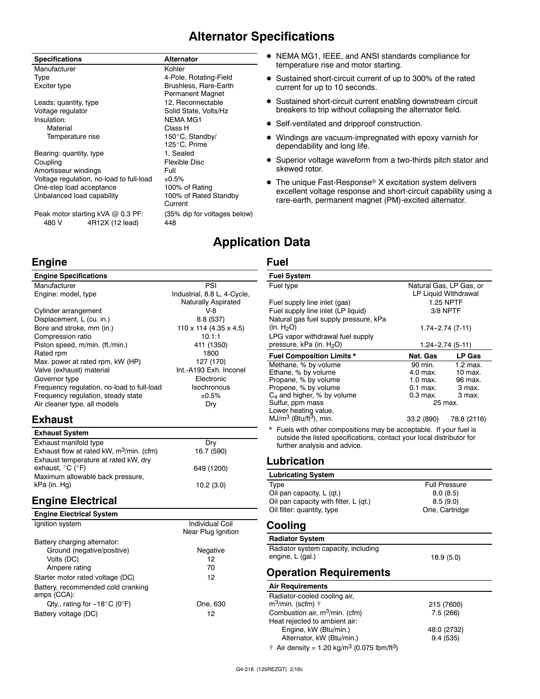# **Alternator Specifications**

| <b>Specifications</b>                                         | <b>Alternator</b>                                |
|---------------------------------------------------------------|--------------------------------------------------|
| Manufacturer                                                  | Kohler                                           |
| Type                                                          | 4-Pole, Rotating-Field                           |
| Exciter type                                                  | Brushless, Rare-Earth<br><b>Permanent Magnet</b> |
| Leads: quantity, type                                         | 12, Reconnectable                                |
| Voltage regulator                                             | Solid State, Volts/Hz                            |
| Insulation:                                                   | <b>NEMA MG1</b>                                  |
| Material                                                      | Class H                                          |
| Temperature rise                                              | 150°C, Standby/                                  |
|                                                               | 125°C, Prime                                     |
| Bearing: quantity, type                                       | 1, Sealed                                        |
| Coupling                                                      | <b>Flexible Disc</b>                             |
| Amortisseur windings                                          | Full                                             |
| Voltage regulation, no-load to full-load                      | ±0.5%                                            |
| One-step load acceptance                                      | 100% of Rating                                   |
| Unbalanced load capability                                    | 100% of Rated Standby<br>Current                 |
| Peak motor starting kVA @ 0.3 PF:<br>480 V<br>4R12X (12 lead) | (35% dip for voltages below)<br>448              |

**Engine**

#### • NEMA MG1, IEEE, and ANSI standards compliance for temperature rise and motor starting.

- Sustained short-circuit current of up to 300% of the rated current for up to 10 seconds.
- Sustained short-circuit current enabling downstream circuit breakers to trip without collapsing the alternator field.
- Self-ventilated and dripproof construction.
- Windings are vacuum-impregnated with epoxy varnish for dependability and long life.
- Superior voltage waveform from a two-thirds pitch stator and skewed rotor.
- $\bullet$  The unique Fast-Response® X excitation system delivers excellent voltage response and short-circuit capability using a rare-earth, permanent magnet (PM)-excited alternator.

# **Application Data**

#### **Fuel**

| <b>Engine Specifications</b>                                                                                                                                                                                   |                                                                                                 | <b>Fuel System</b>                                                                                                                     |
|----------------------------------------------------------------------------------------------------------------------------------------------------------------------------------------------------------------|-------------------------------------------------------------------------------------------------|----------------------------------------------------------------------------------------------------------------------------------------|
| Manufacturer                                                                                                                                                                                                   | PSI                                                                                             | Fuel type                                                                                                                              |
| Engine: model, type                                                                                                                                                                                            | Industrial, 8.8 L, 4-Cycle,<br><b>Naturally Aspirated</b>                                       | Fuel supply li                                                                                                                         |
| Cylinder arrangement<br>Displacement, L (cu. in.)<br>Bore and stroke, mm (in.)                                                                                                                                 | $V-8$<br>8.8 (537)<br>$110 \times 114$ (4.35 x 4.5)                                             | Fuel supply li<br>Natural gas fu<br>(in. $H_2O$ )                                                                                      |
| Compression ratio<br>Piston speed, m/min. (ft./min.)                                                                                                                                                           | 10.1:1<br>411 (1350)                                                                            | LPG vapor wi<br>pressure, kPa                                                                                                          |
| Rated rpm<br>Max. power at rated rpm, kW (HP)<br>Valve (exhaust) material<br>Governor type<br>Frequency regulation, no-load to full-load<br>Frequency regulation, steady state<br>Air cleaner type, all models | 1800<br>127 (170)<br>Int.-A193 Exh. Inconel<br>Electronic<br><b>Isochronous</b><br>±0.5%<br>Dry | <b>Fuel Compo:</b><br>Methane, % b<br>Ethane, % by<br>Propane, % b<br>Propene, % b<br>$C_4$ and highe<br>Sulfur, ppm m<br>Lower heatin |
| <b>Exhaust</b>                                                                                                                                                                                                 |                                                                                                 | MJ/m <sup>3</sup> (Btu/ft<br>* Fuels with                                                                                              |
| <b>Exhaust System</b><br>Exhaust manifold type<br>Exhaust flow at rated kW, $m^3/m$ in. (cfm)                                                                                                                  | Dry<br>16.7 (590)                                                                               | outside the<br>further ana                                                                                                             |
| Exhaust temperature at rated kW, dry<br>exhaust, °C (°F)                                                                                                                                                       | 649 (1200)                                                                                      | Lubricati                                                                                                                              |
| Maximum allowable back pressure,                                                                                                                                                                               |                                                                                                 | Lubricating                                                                                                                            |
| kPa (in. Hg)<br><b>Engine Electrical</b>                                                                                                                                                                       | 10.2(3.0)                                                                                       | Type<br>Oil pan capad<br>Oil pan capad                                                                                                 |
| Employee Electrical Orio                                                                                                                                                                                       |                                                                                                 | Oil filter: quar                                                                                                                       |

#### **Engine Electrical System** Ignition system **Individual Coil** Near Plug Ignition Battery charging alternator: Ground (negative/positive) Negative Volts (DC) 12 Ampere rating 70 Starter motor rated voltage (DC) 12 Battery, recommended cold cranking amps (CCA): Qty., rating for  $-18^{\circ}$ C (0°F) One, 630 Battery voltage (DC) 12

| г исгоузтан                                                                                           |                         |               |  |
|-------------------------------------------------------------------------------------------------------|-------------------------|---------------|--|
| Fuel type                                                                                             | Natural Gas, LP Gas, or |               |  |
|                                                                                                       | LP Liquid Withdrawal    |               |  |
| Fuel supply line inlet (gas)                                                                          | <b>1.25 NPTF</b>        |               |  |
| Fuel supply line inlet (LP liquid)                                                                    | 3/8 NPTF                |               |  |
| Natural gas fuel supply pressure, kPa                                                                 |                         |               |  |
| (in. $H_2O$ )                                                                                         | $1.74 - 2.74(7 - 11)$   |               |  |
| LPG vapor withdrawal fuel supply                                                                      |                         |               |  |
| pressure, kPa (in. H <sub>2</sub> O)                                                                  | 1.24-2.74 (5-11)        |               |  |
| <b>Fuel Composition Limits *</b>                                                                      | Nat. Gas                | <b>LP Gas</b> |  |
| Methane, % by volume                                                                                  | 90 min.                 | $1.2$ max.    |  |
| Ethane, % by volume                                                                                   | $4.0$ max.              | $10$ max.     |  |
| Propane, % by volume                                                                                  | $1.0$ max.              | 96 max.       |  |
| Propene, % by volume                                                                                  | $0.1$ max.              | 3 max.        |  |
| $C_4$ and higher, % by volume                                                                         | $0.3$ max.<br>25 max.   | 3 max.        |  |
| Sulfur, ppm mass<br>Lower heating value,                                                              |                         |               |  |
| $MJ/m3$ (Btu/ft <sup>3</sup> ), min.                                                                  | 33.2 (890)              | 78.8 (2116)   |  |
|                                                                                                       |                         |               |  |
| * Fuels with other compositions may be acceptable. If your fuel is                                    |                         |               |  |
| outside the listed specifications, contact your local distributor for<br>further analysis and advice. |                         |               |  |
|                                                                                                       |                         |               |  |
| Lubrication                                                                                           |                         |               |  |
| <b>Lubricating System</b>                                                                             |                         |               |  |
| Type                                                                                                  | <b>Full Pressure</b>    |               |  |
| Oil pan capacity, L (qt.)<br>8.0(8.5)                                                                 |                         |               |  |
| Oil pan capacity with filter, L (qt.)                                                                 | 8.5(9.0)                |               |  |
| Oil filter: quantity, type                                                                            | One, Cartridge          |               |  |
| Cooling                                                                                               |                         |               |  |
| <b>Radiator System</b>                                                                                |                         |               |  |

Radiator system capacity, including engine, L (gal.) 18.9 (5.0)

### **Operation Requirements**

| <b>Air Requirements</b>           |            |
|-----------------------------------|------------|
| Radiator-cooled cooling air,      |            |
| $m^3$ /min. (scfm) $\dagger$      | 215 (7600) |
| Combustion air, $m^3/m$ in. (cfm) | 7.5(266)   |
| Heat rejected to ambient air:     |            |

|  | 48.0 (2732) |
|--|-------------|
|  | 9.4(535)    |

 $\dagger$  Air density = 1.20 kg/m<sup>3</sup> (0.075 lbm/ft<sup>3</sup>)

Engine, kW (Btu/min.) Alternator, kW (Btu/min.)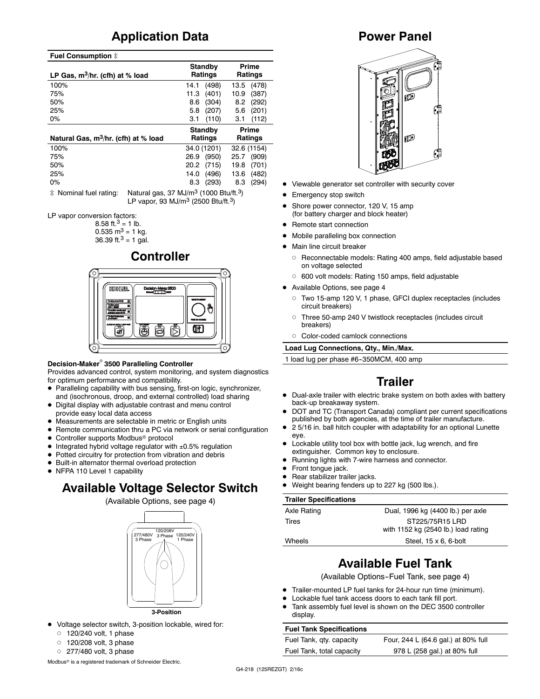# **Application Data**

#### **Fuel Consumption**  $\ddagger$

| LP Gas, $m^3/hr$ . (cfh) at % load               | Standby<br>Ratings | Prime<br><b>Ratings</b> |  |
|--------------------------------------------------|--------------------|-------------------------|--|
| 100%                                             | (498)<br>14.1      | (478)<br>13.5           |  |
| 75%                                              | (401)<br>11.3      | (387)<br>10.9           |  |
| 50%                                              | (304)<br>8.6       | (292)<br>8.2            |  |
| 25%                                              | (207)<br>5.8       | (201)<br>5.6            |  |
| $0\%$                                            | 3.1<br>(110)       | 3.1<br>(112)            |  |
|                                                  | <b>Standby</b>     | Prime                   |  |
| Natural Gas, m <sup>3</sup> /hr. (cfh) at % load | Ratings            | Ratings                 |  |
| 100%                                             | 34.0 (1201)        | 32.6 (1154)             |  |
| 75%                                              | (950)<br>26.9      | (909)<br>25.7           |  |
| 50%                                              | 20.2<br>(715)      | (701)<br>19.8           |  |
| 25%                                              | 14.0<br>(496)      | (482)<br>13.6           |  |
| 0%                                               | (293)<br>8.3       | (294)<br>8.3            |  |

 $\ddot{\text{*}}$  Nominal fuel rating: Natural gas, 37 MJ/m<sup>3</sup> (1000 Btu/ft.<sup>3</sup>) LP vapor, 93 MJ/m3 (2500 Btu/ft.3)

LP vapor conversion factors:

8.58 ft. $3 = 1$  lb.  $0.535$  m<sup>3</sup> = 1 kg.

36.39 ft. $3 = 1$  gal.

# **Controller**



#### **Decision-Maker<sup>®</sup> 3500 Paralleling Controller**

Provides advanced control, system monitoring, and system diagnostics for optimum performance and compatibility.

- Paralleling capability with bus sensing, first-on logic, synchronizer, and (isochronous, droop, and external controlled) load sharing
- Digital display with adjustable contrast and menu control provide easy local data access
- $\bullet$  Measurements are selectable in metric or English units
- Remote communication thru a PC via network or serial configuration
- Controller supports Modbus<sup>®</sup> protocol
- $\bullet$  Integrated hybrid voltage regulator with  $\pm 0.5\%$  regulation
- Potted circuitry for protection from vibration and debris
- $\bullet$  Built-in alternator thermal overload protection
- NFPA 110 Level 1 capability

# **Available Voltage Selector Switch**

(Available Options, see page 4)



- $\bullet$  Voltage selector switch, 3-position lockable, wired for:
	- $0$  120/240 volt, 1 phase
	- $0$  120/208 volt, 3 phase
	- $0$  277/480 volt, 3 phase

Modbus<sup>®</sup> is a registered trademark of Schneider Electric.

### **Power Panel**



- Viewable generator set controller with security cover
- Emergency stop switch
- Shore power connector, 120 V, 15 amp (for battery charger and block heater)
- Remote start connection
- Mobile paralleling box connection
- Main line circuit breaker
	- o Reconnectable models: Rating 400 amps, field adjustable based on voltage selected
	- o 600 volt models: Rating 150 amps, field adjustable
- Available Options, see page 4
	- d Two 15-amp 120 V, 1 phase, GFCI duplex receptacles (includes circuit breakers)
	- d Three 50-amp 240 V twistlock receptacles (includes circuit breakers)
	- d Color-coded camlock connections

**Load Lug Connections, Qty., Min./Max.**

1 load lug per phase #6-350MCM, 400 amp

# **Trailer**

- Dual-axle trailer with electric brake system on both axles with battery back-up breakaway system.
- DOT and TC (Transport Canada) compliant per current specifications published by both agencies, at the time of trailer manufacture.
- 2 5/16 in. ball hitch coupler with adaptability for an optional Lunette eye.
- $\bullet$  Lockable utility tool box with bottle jack, lug wrench, and fire extinguisher. Common key to enclosure.
- Running lights with 7-wire harness and connector.
- Front tonque jack.
- Rear stabilizer trailer jacks.
- Weight bearing fenders up to 227 kg (500 lbs.).

#### **Trailer Specifications**

| Dual, 1996 kg (4400 lb.) per axle                      |
|--------------------------------------------------------|
| ST225/75R15 LRD<br>with 1152 kg (2540 lb.) load rating |
| Steel, $15 \times 6$ , 6-bolt                          |
|                                                        |

# **Available Fuel Tank**

(Available Options-Fuel Tank, see page 4)

- Trailer-mounted LP fuel tanks for 24-hour run time (minimum).
- Lockable fuel tank access doors to each tank fill port.
- Tank assembly fuel level is shown on the DEC 3500 controller display.

#### **Fuel Tank Specifications**

Fuel Tank, qty. capacity Four, 244 L (64.6 gal.) at 80% full Fuel Tank, total capacity 978 L (258 gal.) at 80% full